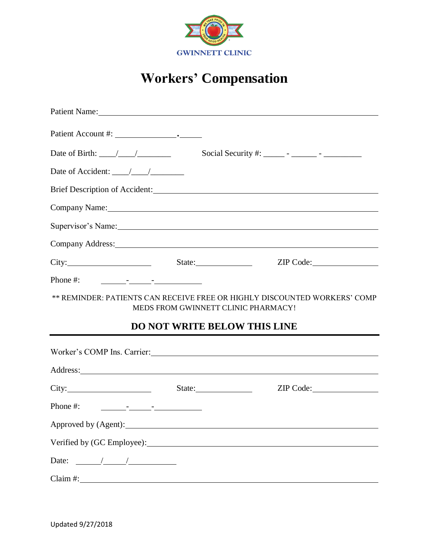

## **Workers' Compensation**

|                                                                                                                                                                                                                                                                                                                                                                                                                                                 | Patient Name: 2008                                                         |                                                                                                                                                                                                                                |  |  |
|-------------------------------------------------------------------------------------------------------------------------------------------------------------------------------------------------------------------------------------------------------------------------------------------------------------------------------------------------------------------------------------------------------------------------------------------------|----------------------------------------------------------------------------|--------------------------------------------------------------------------------------------------------------------------------------------------------------------------------------------------------------------------------|--|--|
|                                                                                                                                                                                                                                                                                                                                                                                                                                                 |                                                                            |                                                                                                                                                                                                                                |  |  |
| Date of Birth: $\frac{1}{\sqrt{1-\frac{1}{1-\frac{1}{1-\frac{1}{1-\frac{1}{1-\frac{1}{1-\frac{1}{1-\frac{1}{1-\frac{1}{1-\frac{1}{1-\frac{1}{1-\frac{1}{1-\frac{1}{1-\frac{1}{1-\frac{1}{1-\frac{1}{1-\frac{1}{1-\frac{1}{1-\frac{1}{1-\frac{1}{1-\frac{1}{1-\frac{1}{1-\frac{1}{1-\frac{1}{1-\frac{1}{1-\frac{1}{1-\frac{1}{1-\frac{1}{1-\frac{1}{1-\frac{1}{1-\frac{1}{1-\frac{1}{1-\frac{1}{1-\frac{1$                                       |                                                                            |                                                                                                                                                                                                                                |  |  |
| Date of Accident: $\frac{1}{\sqrt{1-\frac{1}{2}}}\frac{1}{\sqrt{1-\frac{1}{2}}}}$                                                                                                                                                                                                                                                                                                                                                               |                                                                            |                                                                                                                                                                                                                                |  |  |
|                                                                                                                                                                                                                                                                                                                                                                                                                                                 |                                                                            | Brief Description of Accident: Manual Communication of Accident:                                                                                                                                                               |  |  |
|                                                                                                                                                                                                                                                                                                                                                                                                                                                 |                                                                            | Company Name: Name: Name and South Assembly Name and South Assembly Name and South Assembly Name and South Assembly Name and South Assembly Name and Assembly Name and Assembly Name and Assembly Name and Assembly Name and A |  |  |
|                                                                                                                                                                                                                                                                                                                                                                                                                                                 |                                                                            | Supervisor's Name: 1988. [19] Name: 1988. [19] Name: 1988. [19] Name: 1988. [19] Name: 1988. [19] Name: 1988. [19] Name: 1988. [19] Name: 1988. [19] Name: 1988. [19] Name: 1988. [19] Name: 1988. [19] Name: 1988. [19] Name: |  |  |
|                                                                                                                                                                                                                                                                                                                                                                                                                                                 |                                                                            | Company Address: No. 1996. The Company Address:                                                                                                                                                                                |  |  |
|                                                                                                                                                                                                                                                                                                                                                                                                                                                 |                                                                            | City: City: City: City: City: City: City: City: City: City: City: City: City: City: City: City: City: City: City: City: City: City: City: City: City: City: City: City: City: City: City: City: City: City: City: City: City:  |  |  |
| Phone #: $\frac{1}{\sqrt{1-\frac{1}{2}} \cdot \frac{1}{\sqrt{1-\frac{1}{2}} \cdot \frac{1}{\sqrt{1-\frac{1}{2}} \cdot \frac{1}{\sqrt{1-\frac{1}{2}} \cdot \frac{1}{\sqrt{1-\frac{1}{2}} \cdot \frac{1}{\sqrt{1-\frac{1}{2}} \cdot \frac{1}{\sqrt{1-\frac{1}{2}} \cdot \frac{1}{\sqrt{1-\frac{1}{2}} \cdot \frac{1}{\sqrt{1-\frac{1}{2}} \cdot \frac{1}{\sqrt{1-\frac{1}{2}} \cdot \frac{1}{\sqrt{1-\frac{1}{2}} \cdot \frac{1}{\sqrt{1-\frac{1$ |                                                                            |                                                                                                                                                                                                                                |  |  |
|                                                                                                                                                                                                                                                                                                                                                                                                                                                 |                                                                            |                                                                                                                                                                                                                                |  |  |
|                                                                                                                                                                                                                                                                                                                                                                                                                                                 | MEDS FROM GWINNETT CLINIC PHARMACY!<br><b>DO NOT WRITE BELOW THIS LINE</b> | ** REMINDER: PATIENTS CAN RECEIVE FREE OR HIGHLY DISCOUNTED WORKERS' COMP                                                                                                                                                      |  |  |
|                                                                                                                                                                                                                                                                                                                                                                                                                                                 |                                                                            | Worker's COMP Ins. Carrier:                                                                                                                                                                                                    |  |  |
|                                                                                                                                                                                                                                                                                                                                                                                                                                                 |                                                                            |                                                                                                                                                                                                                                |  |  |
| City: State:                                                                                                                                                                                                                                                                                                                                                                                                                                    |                                                                            | ZIP Code:                                                                                                                                                                                                                      |  |  |
| Phone #: $\frac{1}{\sqrt{1-\frac{1}{2}} \cdot \frac{1}{\sqrt{1-\frac{1}{2}} \cdot \frac{1}{\sqrt{1-\frac{1}{2}} \cdot \frac{1}{\sqrt{1-\frac{1}{2}} \cdot \frac{1}{\sqrt{1-\frac{1}{2}} \cdot \frac{1}{\sqrt{1-\frac{1}{2}} \cdot \frac{1}{\sqrt{1-\frac{1}{2}} \cdot \frac{1}{\sqrt{1-\frac{1}{2}} \cdot \frac{1}{\sqrt{1-\frac{1}{2}} \cdot \frac{1}{\sqrt{1-\frac{1}{2}} \cdot \frac{1}{\sqrt{1-\frac{1}{2}} \cdot \frac{1}{\sqrt{1-\frac{1$ |                                                                            |                                                                                                                                                                                                                                |  |  |
|                                                                                                                                                                                                                                                                                                                                                                                                                                                 |                                                                            |                                                                                                                                                                                                                                |  |  |
|                                                                                                                                                                                                                                                                                                                                                                                                                                                 |                                                                            |                                                                                                                                                                                                                                |  |  |
| Date: $\frac{\sqrt{2\pi}}{2\pi}$                                                                                                                                                                                                                                                                                                                                                                                                                |                                                                            |                                                                                                                                                                                                                                |  |  |